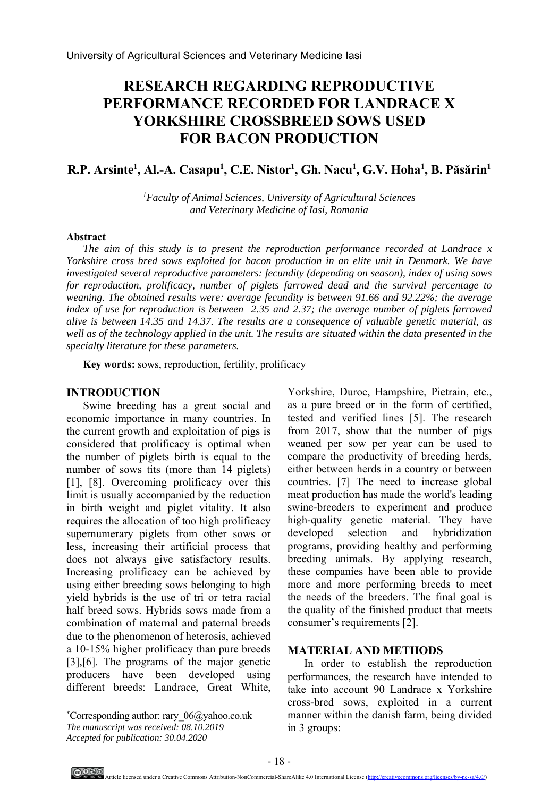# **RESEARCH REGARDING REPRODUCTIVE PERFORMANCE RECORDED FOR LANDRACE X YORKSHIRE CROSSBREED SOWS USED FOR BACON PRODUCTION**

# $R.P.$  Arsinte<sup>1</sup>, Al.-A. Casapu<sup>1</sup>, C.E. Nistor<sup>1</sup>, Gh. Nacu<sup>1</sup>, G.V. Hoha<sup>1</sup>, B. Păsărin<sup>1</sup>

*1Faculty of Animal Sciences, University of Agricultural Sciences and Veterinary Medicine of Iasi, Romania* 

#### **Abstract**

*The aim of this study is to present the reproduction performance recorded at Landrace x Yorkshire cross bred sows exploited for bacon production in an elite unit in Denmark. We have investigated several reproductive parameters: fecundity (depending on season), index of using sows for reproduction, prolificacy, number of piglets farrowed dead and the survival percentage to weaning. The obtained results were: average fecundity is between 91.66 and 92.22%; the average index of use for reproduction is between 2.35 and 2.37; the average number of piglets farrowed alive is between 14.35 and 14.37. The results are a consequence of valuable genetic material, as well as of the technology applied in the unit. The results are situated within the data presented in the specialty literature for these parameters.* 

**Key words:** sows, reproduction, fertility, prolificacy

### **INTRODUCTION**

Swine breeding has a great social and economic importance in many countries. In the current growth and exploitation of pigs is considered that prolificacy is optimal when the number of piglets birth is equal to the number of sows tits (more than 14 piglets) [1], [8]. Overcoming prolificacy over this limit is usually accompanied by the reduction in birth weight and piglet vitality. It also requires the allocation of too high prolificacy supernumerary piglets from other sows or less, increasing their artificial process that does not always give satisfactory results. Increasing prolificacy can be achieved by using either breeding sows belonging to high yield hybrids is the use of tri or tetra racial half breed sows. Hybrids sows made from a combination of maternal and paternal breeds due to the phenomenon of heterosis, achieved a 10-15% higher prolificacy than pure breeds [3],[6]. The programs of the major genetic producers have been developed using different breeds: Landrace, Great White,

Yorkshire, Duroc, Hampshire, Pietrain, etc., as a pure breed or in the form of certified, tested and verified lines [5]. The research from 2017, show that the number of pigs weaned per sow per year can be used to compare the productivity of breeding herds, either between herds in a country or between countries. [7] The need to increase global meat production has made the world's leading swine-breeders to experiment and produce high-quality genetic material. They have developed selection and hybridization programs, providing healthy and performing breeding animals. By applying research, these companies have been able to provide more and more performing breeds to meet the needs of the breeders. The final goal is the quality of the finished product that meets consumer's requirements [2].

#### **MATERIAL AND METHODS**

In order to establish the reproduction performances, the research have intended to take into account 90 Landrace x Yorkshire cross-bred sows, exploited in a current manner within the danish farm, being divided in 3 groups:

 $\overline{a}$ 

<sup>\*</sup> Corresponding author: rary\_06@yahoo.co.uk *The manuscript was received: 08.10.2019 Accepted for publication: 30.04.2020*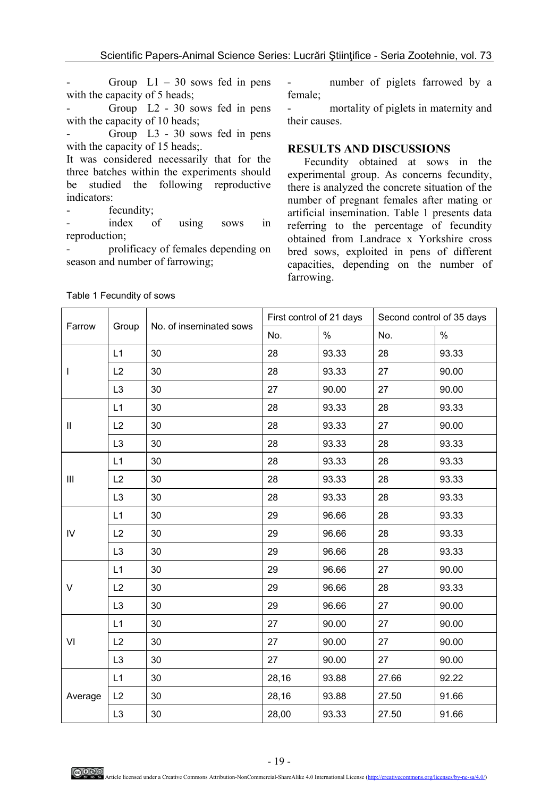Group  $L1 - 30$  sows fed in pens with the capacity of 5 heads;

- Group L2 - 30 sows fed in pens with the capacity of 10 heads;

- Group L3 - 30 sows fed in pens with the capacity of 15 heads;.

It was considered necessarily that for the three batches within the experiments should be studied the following reproductive indicators:

fecundity;

index of using sows in reproduction;

prolificacy of females depending on season and number of farrowing;

- number of piglets farrowed by a female;

- mortality of piglets in maternity and their causes.

#### **RESULTS AND DISCUSSIONS**

Fecundity obtained at sows in the experimental group. As concerns fecundity, there is analyzed the concrete situation of the number of pregnant females after mating or artificial insemination. Table 1 presents data referring to the percentage of fecundity obtained from Landrace x Yorkshire cross bred sows, exploited in pens of different capacities, depending on the number of farrowing.

| Farrow       | Group          |                         | First control of 21 days |       | Second control of 35 days |       |
|--------------|----------------|-------------------------|--------------------------|-------|---------------------------|-------|
|              |                | No. of inseminated sows | No.                      | $\%$  | No.                       | $\%$  |
| I            | L1             | 30                      | 28                       | 93.33 | 28                        | 93.33 |
|              | L2             | 30                      | 28                       | 93.33 | 27                        | 90.00 |
|              | L <sub>3</sub> | 30                      | 27                       | 90.00 | 27                        | 90.00 |
| $\mathbf{H}$ | L1             | 30                      | 28                       | 93.33 | 28                        | 93.33 |
|              | L2             | 30                      | 28                       | 93.33 | 27                        | 90.00 |
|              | L <sub>3</sub> | 30                      | 28                       | 93.33 | 28                        | 93.33 |
| Ш            | L1             | 30                      | 28                       | 93.33 | 28                        | 93.33 |
|              | L2             | 30                      | 28                       | 93.33 | 28                        | 93.33 |
|              | L <sub>3</sub> | 30                      | 28                       | 93.33 | 28                        | 93.33 |
| IV           | L1             | 30                      | 29                       | 96.66 | 28                        | 93.33 |
|              | L2             | 30                      | 29                       | 96.66 | 28                        | 93.33 |
|              | L <sub>3</sub> | 30                      | 29                       | 96.66 | 28                        | 93.33 |
| V            | L1             | 30                      | 29                       | 96.66 | 27                        | 90.00 |
|              | L2             | 30                      | 29                       | 96.66 | 28                        | 93.33 |
|              | L <sub>3</sub> | 30                      | 29                       | 96.66 | 27                        | 90.00 |
| VI           | L1             | 30                      | 27                       | 90.00 | 27                        | 90.00 |
|              | L2             | 30                      | 27                       | 90.00 | 27                        | 90.00 |
|              | L <sub>3</sub> | 30                      | 27                       | 90.00 | 27                        | 90.00 |
| Average      | L1             | 30                      | 28,16                    | 93.88 | 27.66                     | 92.22 |
|              | L2             | 30                      | 28,16                    | 93.88 | 27.50                     | 91.66 |
|              | L <sub>3</sub> | 30                      | 28,00                    | 93.33 | 27.50                     | 91.66 |

Table 1 Fecundity of sows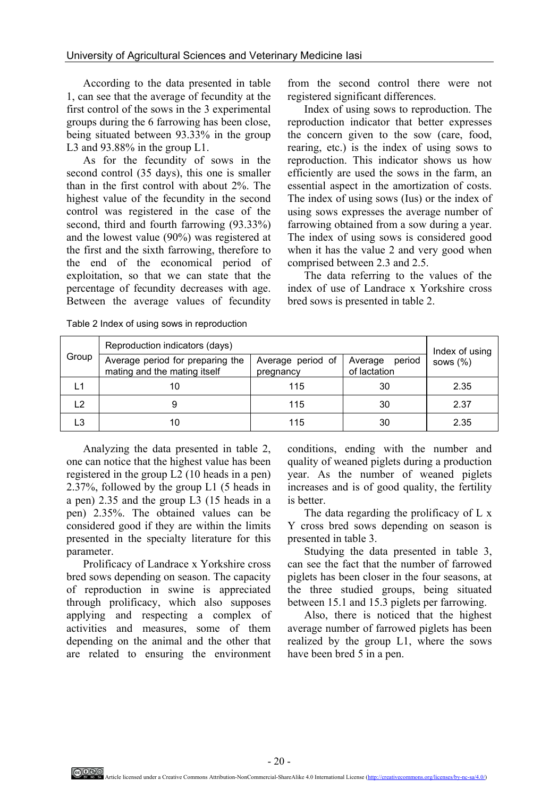According to the data presented in table 1, can see that the average of fecundity at the first control of the sows in the 3 experimental groups during the 6 farrowing has been close, being situated between 93.33% in the group L3 and 93.88% in the group L1.

As for the fecundity of sows in the second control (35 days), this one is smaller than in the first control with about 2%. The highest value of the fecundity in the second control was registered in the case of the second, third and fourth farrowing (93.33%) and the lowest value (90%) was registered at the first and the sixth farrowing, therefore to the end of the economical period of exploitation, so that we can state that the percentage of fecundity decreases with age. Between the average values of fecundity

from the second control there were not registered significant differences.

Index of using sows to reproduction. The reproduction indicator that better expresses the concern given to the sow (care, food, rearing, etc.) is the index of using sows to reproduction. This indicator shows us how efficiently are used the sows in the farm, an essential aspect in the amortization of costs. The index of using sows (Ius) or the index of using sows expresses the average number of farrowing obtained from a sow during a year. The index of using sows is considered good when it has the value 2 and very good when comprised between 2.3 and 2.5.

The data referring to the values of the index of use of Landrace x Yorkshire cross bred sows is presented in table 2.

| Group         | Reproduction indicators (days)                                   | Index of using                 |      |              |
|---------------|------------------------------------------------------------------|--------------------------------|------|--------------|
|               | Average period for preparing the<br>mating and the mating itself | Average period of<br>pregnancy |      | sows $(\% )$ |
|               |                                                                  | 115                            | 30   | 2.35         |
| $\mathcal{D}$ | 115<br>30                                                        |                                | 2.37 |              |
| ∟3            |                                                                  | 115                            | 30   | 2.35         |

Table 2 Index of using sows in reproduction

Analyzing the data presented in table 2, one can notice that the highest value has been registered in the group L2 (10 heads in a pen) 2.37%, followed by the group L1 (5 heads in a pen) 2.35 and the group L3 (15 heads in a pen) 2.35%. The obtained values can be considered good if they are within the limits presented in the specialty literature for this parameter.

Prolificacy of Landrace x Yorkshire cross bred sows depending on season. The capacity of reproduction in swine is appreciated through prolificacy, which also supposes applying and respecting a complex of activities and measures, some of them depending on the animal and the other that are related to ensuring the environment

conditions, ending with the number and quality of weaned piglets during a production year. As the number of weaned piglets increases and is of good quality, the fertility is better.

The data regarding the prolificacy of L x Y cross bred sows depending on season is presented in table 3.

Studying the data presented in table 3, can see the fact that the number of farrowed piglets has been closer in the four seasons, at the three studied groups, being situated between 15.1 and 15.3 piglets per farrowing.

Also, there is noticed that the highest average number of farrowed piglets has been realized by the group L1, where the sows have been bred 5 in a pen.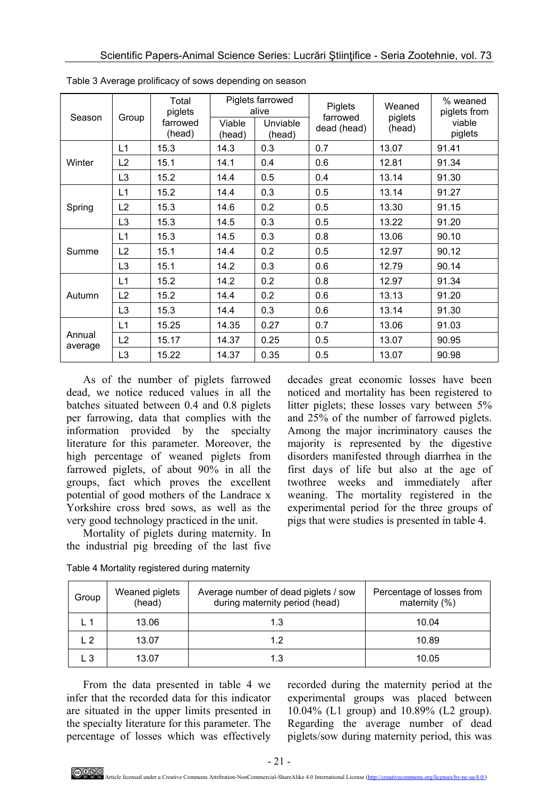| Season            | Group          | Total<br>piglets<br>farrowed<br>(head) | Piglets farrowed<br>alive |                    | Piglets<br>farrowed | Weaned<br>piglets | % weaned<br>piglets from |
|-------------------|----------------|----------------------------------------|---------------------------|--------------------|---------------------|-------------------|--------------------------|
|                   |                |                                        | Viable<br>(head)          | Unviable<br>(head) | dead (head)         | (head)            | viable<br>piglets        |
| Winter            | L1             | 15.3                                   | 14.3                      | 0.3                | 0.7                 | 13.07             | 91.41                    |
|                   | L2             | 15.1                                   | 14.1                      | 0.4                | 0.6                 | 12.81             | 91.34                    |
|                   | L <sub>3</sub> | 15.2                                   | 14.4                      | 0.5                | 0.4                 | 13.14             | 91.30                    |
| Spring            | L1             | 15.2                                   | 14.4                      | 0.3                | 0.5                 | 13.14             | 91.27                    |
|                   | L2             | 15.3                                   | 14.6                      | 0.2                | 0.5                 | 13.30             | 91.15                    |
|                   | L <sub>3</sub> | 15.3                                   | 14.5                      | 0.3                | 0.5                 | 13.22             | 91.20                    |
| Summe             | L1             | 15.3                                   | 14.5                      | 0.3                | 0.8                 | 13.06             | 90.10                    |
|                   | L2             | 15.1                                   | 14.4                      | 0.2                | 0.5                 | 12.97             | 90.12                    |
|                   | L <sub>3</sub> | 15.1                                   | 14.2                      | 0.3                | 0.6                 | 12.79             | 90.14                    |
| Autumn            | L1             | 15.2                                   | 14.2                      | 0.2                | 0.8                 | 12.97             | 91.34                    |
|                   | L2             | 15.2                                   | 14.4                      | 0.2                | 0.6                 | 13.13             | 91.20                    |
|                   | L <sub>3</sub> | 15.3                                   | 14.4                      | 0.3                | 0.6                 | 13.14             | 91.30                    |
| Annual<br>average | L1             | 15.25                                  | 14.35                     | 0.27               | 0.7                 | 13.06             | 91.03                    |
|                   | L2             | 15.17                                  | 14.37                     | 0.25               | 0.5                 | 13.07             | 90.95                    |
|                   | L <sub>3</sub> | 15.22                                  | 14.37                     | 0.35               | 0.5                 | 13.07             | 90.98                    |

Table 3 Average prolificacy of sows depending on season

As of the number of piglets farrowed dead, we notice reduced values in all the batches situated between 0.4 and 0.8 piglets per farrowing, data that complies with the information provided by the specialty literature for this parameter. Moreover, the high percentage of weaned piglets from farrowed piglets, of about 90% in all the groups, fact which proves the excellent potential of good mothers of the Landrace x Yorkshire cross bred sows, as well as the very good technology practiced in the unit.

Mortality of piglets during maternity. In the industrial pig breeding of the last five decades great economic losses have been noticed and mortality has been registered to litter piglets; these losses vary between 5% and 25% of the number of farrowed piglets. Among the major incriminatory causes the majority is represented by the digestive disorders manifested through diarrhea in the first days of life but also at the age of twothree weeks and immediately after weaning. The mortality registered in the experimental period for the three groups of pigs that were studies is presented in table 4.

| Group      | Weaned piglets<br>(head) | Average number of dead piglets / sow<br>during maternity period (head) | Percentage of losses from<br>maternity $(%)$ |
|------------|--------------------------|------------------------------------------------------------------------|----------------------------------------------|
|            | 13.06                    | 1.3                                                                    | 10.04                                        |
| $\sqrt{2}$ | 13.07                    | 12                                                                     | 10.89                                        |
| L 3        | 13.07                    | 1.3                                                                    | 10.05                                        |

Table 4 Mortality registered during maternity

From the data presented in table 4 we infer that the recorded data for this indicator are situated in the upper limits presented in the specialty literature for this parameter. The percentage of losses which was effectively

recorded during the maternity period at the experimental groups was placed between 10.04% (L1 group) and 10.89% (L2 group). Regarding the average number of dead piglets/sow during maternity period, this was